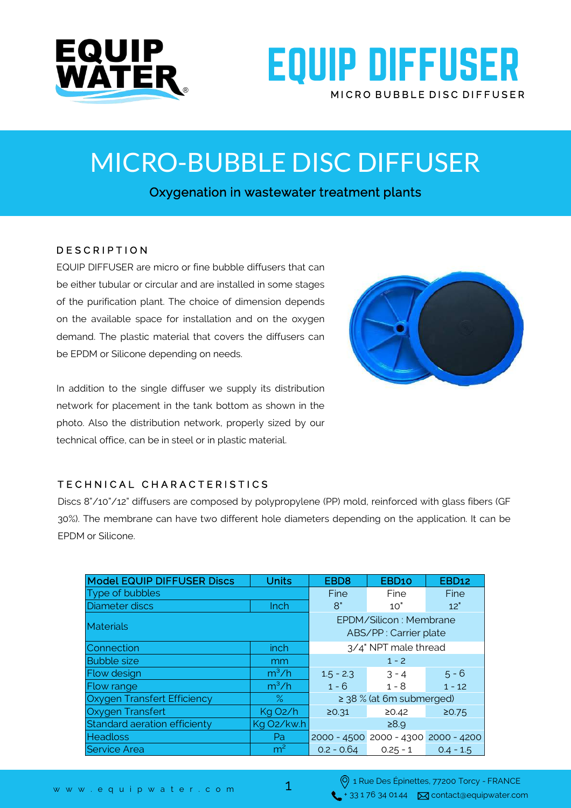

## **EQUIP DIFFUSER** MICRO BUBBLE DISC DIFFUSER

MICRO-BUBBLE DISC DIFFUSER

Oxygenation in wastewater treatment plants

### D E S C R I P T I O N

EQUIP DIFFUSER are micro or fine bubble diffusers that can be either tubular or circular and are installed in some stages of the purification plant. The choice of dimension depends on the available space for installation and on the oxygen demand. The plastic material that covers the diffusers can be EPDM or Silicone depending on needs.

In addition to the single diffuser we supply its distribution network for placement in the tank bottom as shown in the photo. Also the distribution network, properly sized by our technical office, can be in steel or in plastic material.



### TECHNICAL CHARACTERISTICS

Discs 8"/10"/12" diffusers are composed by polypropylene (PP) mold, reinforced with glass fibers (GF 30%). The membrane can have two different hole diameters depending on the application. It can be EPDM or Silicone.

| <b>Model EQUIP DIFFUSER Discs</b> | <b>Units</b>         | EBD <sub>8</sub>                                | EBD10                               | <b>EBD12</b> |
|-----------------------------------|----------------------|-------------------------------------------------|-------------------------------------|--------------|
| Type of bubbles                   |                      | Fine                                            | Fine                                | Fine         |
| Diameter discs                    | Inch                 | 8"                                              | 10"                                 | 12"          |
| <b>Materials</b>                  |                      | EPDM/Silicon: Membrane<br>ABS/PP: Carrier plate |                                     |              |
| Connection                        | inch                 | 3/4" NPT male thread                            |                                     |              |
| <b>Bubble size</b>                | mm                   | $1 - 2$                                         |                                     |              |
| <b>Flow design</b>                | $m^3/h$              | $1.5 - 2.3$                                     | $3 - 4$                             | $5 - 6$      |
| Flow range                        | $m^3/h$              | $1 - 6$                                         | $1 - 8$                             | $1 - 12$     |
| Oxygen Transfert Efficiency       | $\%$                 | $\ge$ 38 % (at 6m submerged)                    |                                     |              |
| Oxygen Transfert                  | Kg O <sub>2</sub> /h | 20.31                                           | 20.42                               | 20.75        |
| Standard aeration efficienty      | Kg O2/kw.h           | ≥8.9                                            |                                     |              |
| <b>Headloss</b>                   | Pa                   |                                                 | 2000 - 4500 2000 - 4300 2000 - 4200 |              |
| <b>Service Area</b>               | m <sup>2</sup>       | $0.2 - 0.64$                                    | $0.25 - 1$                          | $0.4 - 1.5$  |
|                                   |                      |                                                 |                                     |              |

1